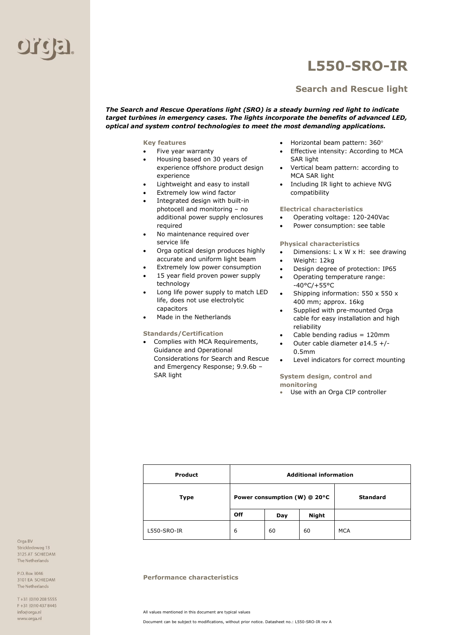

## **L550-SRO-IR**

### **Search and Rescue light**

*The Search and Rescue Operations light (SRO) is a steady burning red light to indicate target turbines in emergency cases. The lights incorporate the benefits of advanced LED, optical and system control technologies to meet the most demanding applications.*

**Key features** 

- Five year warranty
- Housing based on 30 years of experience offshore product design experience
- Lightweight and easy to install
- Extremely low wind factor
- Integrated design with built-in
- photocell and monitoring no additional power supply enclosures required
- No maintenance required over service life
- Orga optical design produces highly accurate and uniform light beam
- Extremely low power consumption
- 15 year field proven power supply technology
- Long life power supply to match LED life, does not use electrolytic capacitors
- Made in the Netherlands

#### **Standards/Certification**

• Complies with MCA Requirements, Guidance and Operational Considerations for Search and Rescue and Emergency Response; 9.9.6b – SAR light

- Horizontal beam pattern: 360
- Effective intensity: According to MCA SAR light
- Vertical beam pattern: according to MCA SAR light
- Including IR light to achieve NVG compatibility

#### **Electrical characteristics**

- Operating voltage: 120-240Vac
- Power consumption: see table

#### **Physical characteristics**

- Dimensions: L x W x H: see drawing
- Weight: 12kg
- Design degree of protection: IP65
- Operating temperature range: -40°C/+55°C
- Shipping information: 550 x 550 x 400 mm; approx. 16kg
- Supplied with pre-mounted Orga cable for easy installation and high reliability
- Cable bending radius = 120mm
- Outer cable diameter ø14.5 +/- 0.5mm
- Level indicators for correct mounting

#### **System design, control and monitoring**

• Use with an Orga CIP controller

| <b>Product</b> | <b>Additional information</b> |     |              |                 |
|----------------|-------------------------------|-----|--------------|-----------------|
| <b>Type</b>    | Power consumption (W) @ 20°C  |     |              | <b>Standard</b> |
|                | Off                           | Day | <b>Night</b> |                 |
| L550-SRO-IR    | 6                             | 60  | 60           | <b>MCA</b>      |

#### **Performance characteristics**

All values mentioned in this document are typical values

Document can be subject to modifications, without prior notice. Datasheet no.: L550-SRO-IR rev A

Orga BV Strickledeweg 13 3125 AT SCHIEDAM The Netherlands

P.O. Box 3046 3101 EA SCHIEDAM The Netherlands

T+31 (0)10 208 5555 F+31 (0)10 437 8445 info@orga.nl www.orga.nl